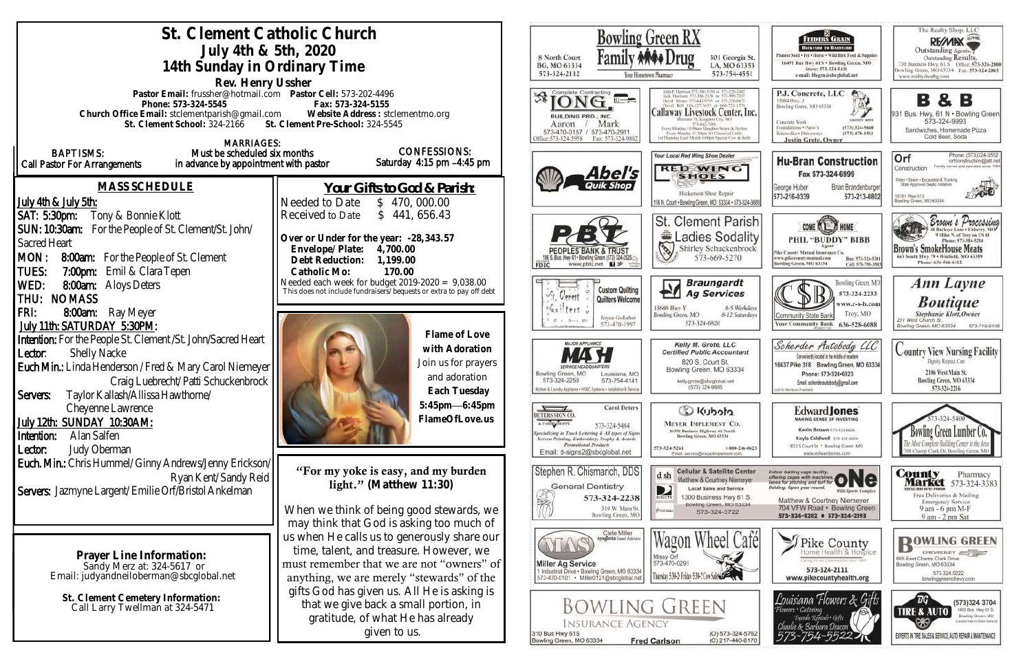